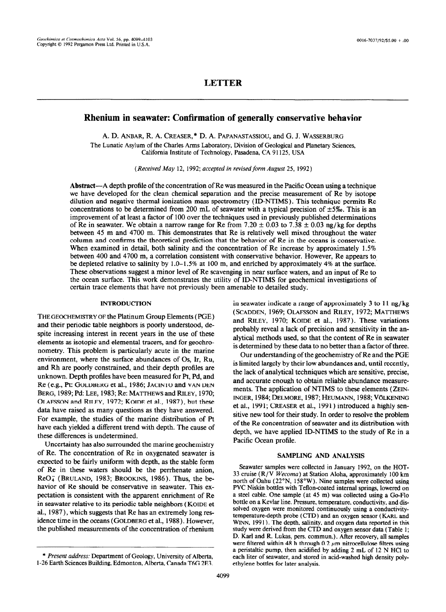## **LETTER**

# **Rhenium in seawater: Confirmation of generally conservative behavior**

A. D. **ANBAR, R. A. CREASER,\* D. A. PAPANASTASSIOU,** and G. **J. WASSERBURG**  The Lunatic Asylum of the Charles Arms Laboratory, Division of Geological and Planetary Sciences, California Institute of Technology, Pasadena, CA 91125, USA

*(Received May 12, 1992; accepted in revised form August 25,* 1992 )

Abstract—A depth profile of the concentration of Re was measured in the Pacific Ocean using a technique we have developed for the clean chemical separation and the precise measurement of Re by isotope dilution and negative thermal ionization mass spectrometry (ID-NTIMS). This technique permits Re concentrations to be determined from 200 mL of seawater with a typical precision of  $\pm 5\%$ . This is an improvement of at least a factor of 100 over the techniques used in previously published determinations of Re in seawater. We obtain a narrow range for Re from 7.20  $\pm$  0.03 to 7.38  $\pm$  0.03 ng/kg for depths between 45 m and 4700 m. This demonstrates that Re is relatively well mixed throughout the water column and confirms the theoretical prediction that the behavior of Re in the oceans is conservative. When examined in detail, both salinity and the concentration of Re increase by approximately 1.5% between 400 and 4700 m, a correlation consistent with conservative behavior. However, Re appears to, be depleted relative to salinity by  $1.0-1.5\%$  at 100 m, and enriched by approximately 4% at the surface. These observations suggest a minor level of Re scavenging in near surface waters, and an input of Re to the ocean surface. This work demonstrates the utility of ID-NTIMS for geochemical investigations of certain trace elements that have not previously been amenable to detailed study.

#### INTRODUCTION

THE GEOCHEMISTRY OF the Platinum Group Elements ( PGE) and their periodic table neighbors is poorly understood, despite increasing interest in recent years in the use of these elements as isotopic and elemental tracers, and for geochronometry. This problem is particularly acute in the marine environment, where the surface abundances of OS, Ir, Ru, and Rh are poorly constrained, and their depth profiles are unknown. Depth profiles have been measured for Pt, Pd, and Re (e.g., Pt: **GOLDBERG** et al., 1986; **JACINTO** and **VAN DEN**  BERG, 1989; Pd: LEE, 1983; Re: MATTHEWS and RILEY, 1970; OLAFSSON and RILEY, 1972; KOIDE et al., 1987), but these data have raised as many questions as they have answered. For example, the studies of the marine distribution of Pt have each yielded a different trend with depth. The cause of these differences is undetermined.

Uncertainty has also surrounded the marine geochemistry of Re. The concentration of Re in oxygenated seawater is expected to be fairly uniform with depth, as the stable form of Re in these waters should be the perrhenate anion,  $ReO<sub>4</sub>$  (BRULAND, 1983; BROOKINS, 1986). Thus, the behavior of Re should be conservative in seawater. This expectation is consistent with the apparent enrichment of Re in seawater relative to its periodic table neighbors ( **KOIDE** et al., 1987), which suggests that Re has an extremely long residence time in the oceans **(GOLDBERG** et al., 1988). However, the published measurements of the concentration of rhenium

in seawater indicate a range of approximately  $3$  to  $11$  ng/kg **(SCADDEN, 1969; OLAFSON** and **RILEY,** 1972; **MATTHEWS**  and **RILEY, 1970; KOIDE** et al., 1987). These variations probably reveal a lack of precision and sensitivity in the analytical methods used, so that the content of Re in seawater is determined by these data to no better than a factor of three.

Our understanding of the geochemistry of Re and the PGE is limited largely by their low abundances and, until recently, the lack of analytical techniques which are sensitive, precise, and accurate enough to obtain reliable abundance measurements, The application of NTIMS to these elements ( **ZEIN-INGER, 1984; DELMORE, 1987; HEUMANN, 1988; VÖLKENING** et al., 199 **1; CREASER** et al., 1991) introduced a highly sensitive new tool for their study. In order to resolve the problem of the Re concentration of seawater and its distribution with depth, we have applied ID-NTIMS to the study of Re in a Pacific Ocean profile.

### SAMPLING AND ANALYSIS

Seawater samples were collected in January 1992, on the HOT-33 cruise (R/V Wecoma) at Station Aloha, approximately 100 km north of Oahu (22"N, 158'W). Nine samples were collected using PVC Niskin bottles with Teflon-coated internal springs, lowered on a steel cable. One sample (at 45 m) was collected using a Go-Flo bottle on a Kevlar line. Pressure, temperature, conductivity, and dissolved oxygen were monitored continuously using a conductivitytemperature-depth probe (CTD) and an oxygen sensor (KARL and WINN, 1991). The depth, salinity, and oxygen data reported in this study were derived from the CTD and oxygen sensor data (Table 1; D. Karl and R. Lukas, pers. commun.). After recovery, all samples were filtered within 48 h through 0.2  $\mu$ m nitrocellulose filters using a peristaltic pump, then acidified by adding 2 mL of 12 N HCl to each liter of seawater, and stored in acid-washed high density polyethylene bottles for later analysis.

<sup>\*</sup> *Present add~e~~~* ~~rnent of Geology, University of **Alberta,**  l-26 Earth Sciences Building Edmonton, Alberta, Canada T6G 2E3.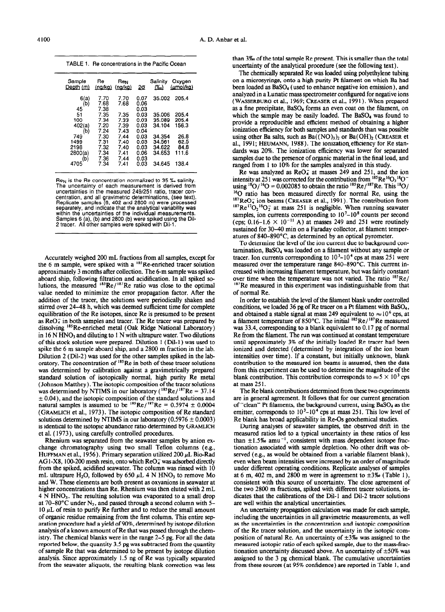**TABLE 1.** Re concentrations **in the Pacific Ocean** 

| Sample<br>Depth (m) | Re<br>(na/ka)        | Re <sub>N</sub><br>(nq/kq) | 2σ                   | Salinity<br>$\mathcal{C}'$ ol | Oxygen<br>(umol/ka)  |
|---------------------|----------------------|----------------------------|----------------------|-------------------------------|----------------------|
| 6(a)<br>(b)<br>45   | 7.70<br>7.68<br>7.38 | 7.70<br>7.68               | 0.07<br>0.06<br>0.03 | 35.002                        | 205.4                |
| 51<br>100           | 7.35<br>7.34         | 7.35<br>7.33               | 0.03<br>0.03         | 35.006<br>35.089              | 205.4<br>205.4       |
| 402(a)<br>(b        | 7.20<br>7.24         | 7.39<br>7.43               | 0.03<br>0.04         | 34.104                        | 156.3                |
| 749<br>1499<br>2198 | 7.30<br>7.31<br>7.32 | 7.44<br>7.40<br>7.40       | 0.03<br>0.03<br>0.03 | 34.354<br>34.561<br>34.622    | 26.8<br>62.5<br>84.8 |
| 2800(a)<br>(b)      | 7.34<br>7.36         | 7.41<br>7.44               | 0.06<br>0.03         | 34.653                        | 111.6                |
| 4705                | 7.34                 | 7.41                       | 0.03                 | 34.645                        | 138.4                |

**ReN is the Re concentration normalized to 35 % salinity. The uncertainty of each measurement is derived from uncertainties in the measured 249/251 ratio, tracer concentration, and all gravimetric determinations, (see text). Replicate samples (6, 402 and 2600 m) were processed**  separately, and indicate that the analytical variability was within the uncertainties of the individual measurements.<br>Samples 6 (a), (b) and 2800 (b) were spiked using the Dil<sup>.</sup><br>2 tracer. All other samples were spiked with Dil-1.

Accurately weighed 200 mL fractions from all samples, except for the 6 m sample, were spiked with a <sup>185</sup>Re-enriched tracer solution approximately 3 months after collection. The 6-m sample was spiked aboard ship, following filtration and acidification. In all spiked solutions, the measured  $^{185}$ Re/ $^{187}$ Re ratio was close to the optimal value needed to minimize the error propagation factor. After the addition of the tracer, the solutions were periodically shaken and stirred over 24-48 h, which was deemed sufficient time for complete equilibration of the Re isotopes, since Re is presumed to be present as  $ReO<sub>4</sub>$  in both samples and tracer. The Re tracer was prepared by dissolving '85Re-enriched metal (Oak Ridge National Laboratory) in 16 N HNO, and diluting to I N with ultrapure water. Two dilutions of this stock solution were prepared. Dilution 1 ( Dil- 1) was used to spike the 6 m sample aboard ship, and a 2800 m fraction in the lab. Dilution 2 (Dil-2) was used for the other samples spiked in the laboratory. The concentration of  $^{185}$ Re in both of these tracer solutions was determined by calibration against a gravimetrically prepared standard solution of isotopically normal, high purity Re metal (Johnson Matthey). The isotopic composition of the tracer solutions was determined by NTIMS in our laboratory  $(^{185}Re/^{187}Re = 37.14$  $\pm$  0.04), and the isotopic composition of the standard solutions and natural samples is assumed to be  $^{185}$ Re/ $^{187}$ Re = 0.5974  $\pm$  0.0004 **(GRAMLICH** et al., 1973). The isotopic composition of Re standard solutions determined by NTIMS in our laboratory ( $0.5976 \pm 0.0003$ ) is identical to the isotopic abundance ratio determined by **GRAMLICH**  et al. ( 1973), using carefully controlled procedures.

Rhenium was separated from the seawater samples by anion exchange chromatography using two small Teflon columns (e.g., HUFFMAN et al., 1956). Primary separation utilized 200  $\mu$ L Bio-Rad AG1-X8, 100-200 mesh resin, onto which  $ReO<sub>4</sub>$  was adsorbed directly from the spiked, acidified seawater. The column was rinsed with 10 mL ultrapure H<sub>2</sub>O, followed by 650  $\mu$ L 4 N HNO<sub>3</sub> to remove Mo and W. These elements are both present as oxyanions in seawater at higher concentrations than Re. Rhenium was then eluted with 2 mL  $4$  N HNO<sub>3</sub>. The resulting solution was evaporated to a small drop at 70-80 $^{\circ}$ C under N<sub>2</sub>, and passed through a second column with 5- $10 \mu L$  of resin to purify Re further and to reduce the small amount of organic residue remaining from the first column. This entire separation procedure had a yield of 90%, determined by isotope dilution analysis of a known amount of Re that was passed through the chemistry. The chemical blanks were in the range 2-5 pg. For all the data reported below, the quantity 3.5 pg was subtracted from the quantity of sample Re that was determined to be present by isotope dilution analysis. Since approximately 1.5 ng of Re was typically separated from the seawater aliquots, the resulting blank correction was less

than 3‰ of the total sample Re present. This is smaller than the total uncertainty of the analytical procedure (see the following text).

The chemically separated Re was loaded using polyethylene tubing on a microsyringe, onto a high purity Pt filament on which Ba had been loaded as BaS04 (used to enhance negative ion emission), and analyzed in a Lunatic mass spectrometer configured for negative ions ( WASSERBURG et al., 1969; CREASER et al., 199 1) . When prepared as a fine precipitate, BaSO<sub>4</sub> forms an even coat on the filament, on which the sample may be easily loaded. The  $BaSO<sub>4</sub>$  was found to provide a reproducible and efficient method of obtaining a higher ionization efficiency for both samples and standards than was possible using other Ba salts, such as  $Ba((NO)_3)_2$  or  $Ba(OH)_2$  (CREASER et al., 1991; HEUMANN, 1988). The ionization\_efficiency for Re standards was 20%. The ionization efficiency was lower for separated samples due to the presence of organic material in the final load, and ranged from 1 to 10% for the samples analyzed in this study.

Re was analyzed as  $ReO_4^-$  at masses 249 and 251, and the ion intensity at 251 was corrected for the contribution from  $^{185}$ Re  $^{16}O_3$   $^{18}O^$ using  $^{18}O/^{16}O = 0.002085$  to obtain the ratio  $^{185}Re/^{187}Re$ . This  $^{18}O/$ I60 ratio has been measured directly for normal Re, using the  $^{187}$ ReO $_4^-$  ion beams (CREASER et al., 1991). The contribution from  $^{187}$ Re<sup>17</sup>O<sub>2</sub><sup>16</sup>O<sub>2</sub> at mass 251 is negligible. When running seawater samples, ion currents corresponding to  $10<sup>7</sup>-10<sup>8</sup>$  counts per second (cps;  $0.16-1.6 \times 10^{-11}$  A) at masses 249 and 251 were routinely sustained for 30-40 min on a Faraday collector, at filament temperatures of 840-89O"C, as determined by an optical pyrometer.

To determine the level of the ion current due to background contamination, BaS04 was loaded on a filament without any sample or tracer. Ion currents corresponding to  $10^3$ – $10^4$  cps at mass 251 were measured over the temperature range 840-890°C. This current increased with increasing filament temperature, but was fairly constant over time when the temperature was not varied. The ratio  $^{185}$ Re/ <sup>187</sup>Re measured in this experiment was indistinguishable from that of normal Re.

In order to establish the level of the filament blank under controlled conditions, we loaded 36 pg of Re tracer on a Pt filament with BaSO4, and obtained a stable signal at mass 249 equivalent to  $\approx 10^6$  cps, at a filament temperature of 850°C. The initial <sup>185</sup>Re/<sup>187</sup>Re measured was 33.4, corresponding to a blank equivalent to 0.17 pg of normal Re from the filament. The run was continued at constant temperature until approximately 3% of the initially loaded Re tracer had been ionized and detected (determined by integration of the ion beam intensities over time). If a constant, but initially unknown, blank contribution to the measured ion beams is assumed, then the data from this experiment can be used to determine the magnitude of the blank contribution. This contribution corresponds to  $\approx$  5  $\times$  10<sup>3</sup> cps at mass 251.

The Re blank contributions determined from these two experiments are in general agreement. It follows that for our current generation of "clean" Pt filaments, the background current, using BaSO<sub>4</sub> as the emitter, corresponds to  $10<sup>3</sup>-10<sup>4</sup>$  cps at mass 251. This low level of Re blank has broad applicability in Re-0s geochemical studies.

During analyses of seawater samples, the observed drift in the measured ratios led to a typical uncertainty in these ratios of less than  $\pm 1.5\%$  amu<sup>-1</sup>, consistent with mass dependent isotope fractionation associated with sample depletion. No other drift was observed (e.g., as would be obtained from a variable filament blank), even when beam intensities were increased by an order of magnitude under different operating conditions. Replicate analyses of samples at 6 m, 402 m, and 2800 m were in agreement to  $\pm 3\%$  (Table 1), consistent with this source of uncertainty. The close agreement of the two 2800 m fractions, spiked with different tracer solutions, indicates that the calibrations of the Dil-1 and Dil-2 tracer solutions are well within the analytical uncertainties.

An uncertainty propagation calculation was made for each sample, including the uncertainties in all gravimetric measurements, as well as the uncertainties in the concentration and isotopic composition of the Re tracer solution, and the uncertainty in the isotopic composition of natural Re. An uncertainty of  $\pm 3\%$  was assigned to the measured isotopic ratio of each spiked sample, due to the mass-fractionation uncertainty discussed above. An uncertainty of  $\pm 50\%$  was assigned to the 3 pg chemical blank. The cumulative uncertainties from these sources (at 95% confidence) are reported in Table 1, and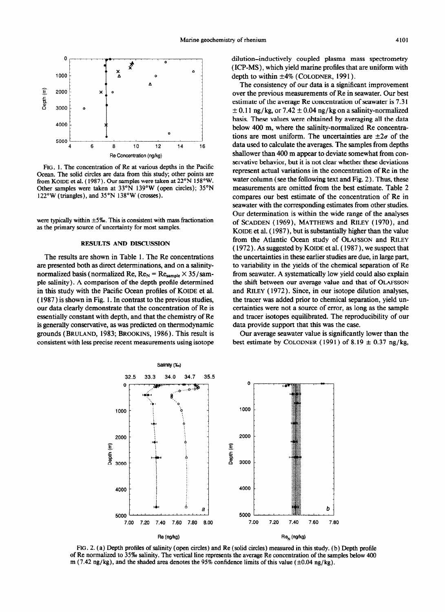

FIG. 1. The concentration of Re at various depths in the Pacific Ocean. The solid circles are data from this study; other points are from KOIDE et al. ( 1987). Our samples were taken at 22"N 158"W. Other samples were taken at 33°N 139°W (open circles); 35°N 122°W (triangles), and 35°N 138°W (crosses).

were typically within  $\pm 5\%$ . This is consistent with mass fractionation as the primary source of uncertainty for most samples.

### RESULTS AND DISCUSSION

The results are shown in Table 1. The Re concentrations are presented both as direct determinations, and on a salinitynormalized basis (normalized Re,  $Re_N = Re_{sample} \times 35 / sam$ ple salinity). A comparison of the depth profile determined in this study with the Pacific Ocean profiles of **KOIDE et al. (** 1987 ) is shown in Fig. 1. In contrast to the previous studies, our data clearly demonstrate that the concentration of Re is essentially constant with depth, and that the chemistry of Re is generally conservative, as was predicted on thermodynamic grounds ( BRULAND, 1983; BROOKINS, 1986). This result is consistent with less precise recent measurements using isotope dilution-inductively coupled plasma mass spectrometry (ICP-MS), which yield marine profiles that are uniform with depth to within  $±4%$  (COLODNER, 1991).

The consistency of our data is a significant improvement over the previous measurements of Re in seawater. Our best estimate of the average Re concentration of seawater is 7.3 1  $\pm$  0.11 ng/kg, or 7.42  $\pm$  0.04 ng/kg on a salinity-normalized basis. These values were obtained by averaging all the data below 400 m, where the salinity-normalized Re concentrations are most uniform. The uncertainties are  $\pm 2\sigma$  of the data used to calculate the averages. The samples from depths shallower than 400 m appear to deviate somewhat from conservative behavior, but it is not clear whether these deviations represent actual variations in the concentration of Re in the water column (see the following text and Fig. 2). Thus, these measurements are omitted from the best estimate. Table 2 compares our best estimate of the concentration of Re in seawater with the corresponding estimates from other studies. Our determination is within the wide range of the analyses of SCADDEN ( 1969), MATTHEWS and **RILEY (** 1970), and KOIDE et al. ( 1987), but is substantially higher than the value from the Atlantic Ocean study of OLAFSSON and RILEY ( 1972). As suggested by KOIDE et al. ( 1987), we suspect that the uncertainties in these earlier studies are due, in large part, to variability in the yields of the chemical separation of Re from seawater. A systematically low yield could also explain the shift between our average value and that of OLAFSSON and RILEY ( 1972). Since, in our isotope dilution analyses, the tracer was added prior to chemical separation, yield uncertainties were not a source of error, as long as the sample and tracer isotopes equilibrated. The reproducibility of our data provide support that this was the case.

Our average seawater value is significantly lower than the best estimate by COLODNER (1991) of 8.19  $\pm$  0.37 ng/kg,



FIG. 2. (a) Depth profiles of salinity (open circles) and Re (solid circles) measured in this study. (b) Depth profile of Re normalized to 35460 salinity. The vertical line represents the average Re concentration of the samples below 400 m (7.42 ng/kg), and the shaded area denotes the 95% confidence limits of this value ( $\pm$ 0.04 ng/kg).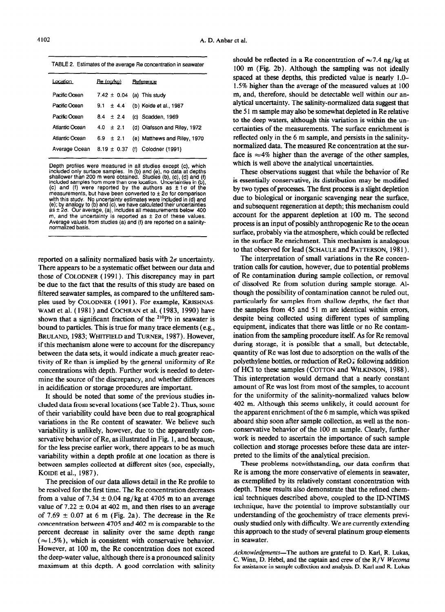TABLE 2. Estimates of the average Re concentration in seawater

| Location       | <u>Re (na/ka)</u> | Reference                       |
|----------------|-------------------|---------------------------------|
| Pacific Ocean  |                   | 7.42 $\pm$ 0.04 (a) This study  |
| Pacific Ocean  | $9.1 \pm 4.4$     | (b) Koide et al., 1987          |
| Pacific Ocean  | $8.4 \pm 2.4$     | (c) Scadden, 1969               |
| Atlantic Ocean | $4.0 \pm 2.1$     | (d) Olafsson and Riley, 1972    |
| Atlantic Ocean | $6.9 \pm 2.1$     | (e) Matthews and Riley, 1970    |
| Average Ocean  |                   | 8.19 ± 0.37 (f) Colodner (1991) |
|                |                   |                                 |

Depth profiles were measured in all studies except (c), which included only surface samples. In (b) and (e), no data at depths<br>shallower than 200 m were obtained. Studies (b), (c), (d) and (f)<br>included samples from more than one location. Uncertainties in (b), (c) and (f) were reported by the authors as  $\pm 1\sigma$  of the measurements, but have been converted to  $\pm$  2 $\sigma$  for comparison with this study. No uncertainty estimates were included in (d) and (e); by analogy to (b) and (c), we have calculated their uncertamties  $as  $\pm 2\sigma$ . Our average, (a), includes all measurements below 400$ m, and the uncertainty is reported as  $\pm$  20 of these values. normalized basis. Average values from studies (a) and (f) are reported on a salinity-

reported on a salinity normalized basis with  $2\sigma$  uncertainty. There appears to be a systematic offset between our data and those of COLODNER (1991). This discrepancy may in part be due to the fact that the results of this study are based on filtered seawater samples, as compared to the unfiltered samples used by COLODNER (1991). For example, KRISHNAS-WAMI et al. (1981) and COCHRAN et al. (1983, 1990) have shown that a significant fraction of the  $2^{10}Pb$  in seawater is bound to particles. This is true for many trace elements (e.g., BRULAND, 1983; WHITFIELD and TURNER, 1987). However, if this mechanism alone were to account for the discrepancy between the data sets, it would indicate a much greater reactivity of Re than is implied by the general uniformity of Re concentrations with depth. Further work is needed to determine the source of the discrepancy, and whether differences in acidification or storage procedures are important.

It should be noted that some of the previous studies included data from several locations (see Table 2 ) . Thus, some of their variability could have been due to real geographical variations in the Re content of seawater. We believe such variability is unlikely, however, due to the apparently conservative behavior of Re, as illustrated in Fig. 1, and because, for the less precise earlier work, there appears to be as much variability within a depth profile at one location as there is between samples collected at different sites (see, especially, KOIDE et al., 1987).

The precision of our data allows detail in the Re profile to be resolved for the first time. The Re concentration decreases from a value of 7.34  $\pm$  0.04 ng/kg at 4705 m to an average value of  $7.22 \pm 0.04$  at 402 m, and then rises to an average of 7.69  $\pm$  0.07 at 6 m (Fig. 2a). The decrease in the Re concentration between 4705 and 402 m is comparable to the percent decrease in salinity over the same depth range  $(\approx 1.5\%)$ , which is consistent with conservative behavior. However, at 100 m, the Re concentration does not exceed the deep-water value, although there is a pronounced salinity maximum at this depth. A good correlation with salinity should be reflected in a Re concentration of  $\approx 7.4$  ng/kg at 100 m (Fig. 2b). Although the sampling was not ideally spaced at these depths, this predicted value is nearly l.O-1.5% higher than the average of the measured values at 100 m, and, therefore, should be detectable well within our analytical uncertainty. The salinity-normalized data suggest that the 5 1 m sample may also be somewhat depleted in Re relative to the deep waters, although this variation is within the uncertainties of the measurements. The surface enrichment is reflected only in the 6 m sample, and persists in the salinitynormalized data. The measured Re concentration at the surface is  $\approx 4\%$  higher than the average of the other samples, which is well above the analytical uncertainties.

These observations suggest that while the behavior of Re is essentially conservative, its distribution may be modified by two types of processes. The first process is a slight depletion due to biological or inorganic scavenging near the surface, and subsequent regeneration at depth; this mechanism could account for the apparent depletion at 100 m. The second process is an input of possibly anthropogenic Re to the ocean surface, probably via the atmosphere, which could be reflected in the surface Re enrichment. This mechanism is analogous to that observed for lead (SCHAULE and PATTERSON, 1981).

The interpretation of small variations in the Re concentration calls for caution, however, due to potential problems of Re contamination during sample collection, or removal of dissolved Re from solution during sample storage. Although the possibility of contamination cannot be ruled out, particularly for samples from shallow depths, the fact that the samples from 45 and 51 m are identical within errors, despite being collected using different types of sampling equipment, indicates that there was little or no Re contamination from the sampling procedure itself. As for Re removal during storage, it is possible that a small, but detectable, quantity of Re was lost due to adsorption on the walls of the polyethylene bottles, or reduction of  $\text{ReO}_4^-$  following addition of HCl to these samples (COTTON and WILKINSON, 1988 ) . This interpretation would demand that a nearly constant amount of Re was lost from most of the samples, to account for the uniformity of the salinity-normalized values below 402 m. Although this seems unlikely, it could account for the apparent enrichment of the 6 m sample, which was spiked aboard ship soon after sample collection, as well as the nonconservative behavior of the 100 m sample. Clearly, further work is needed to ascertain the importance of such sample collection and storage processes before these data are interpreted to the limits of the analytical precision.

These problems notwithstanding, our data confirm that Re is among the more conservative of elements in seawater, as exemplified by its relatively constant concentration with depth. These results also demonstrate that the refined chemical techniques described above, coupled to the ID-NTIMS technique, have the potential to improve substantially our understanding of the geochemistry of trace elements previously studied only with difficulty. We are currently extending this approach to the study of several platinum group elements in seawater.

Acknowledgments-The authors are grateful to D. Karl, R. Lukas, C. Winn, D. Hebel, and the captain and crew of the R/V *Wecoma*  for assistance in sample collection and analysis. D. Karl and R. Lukas